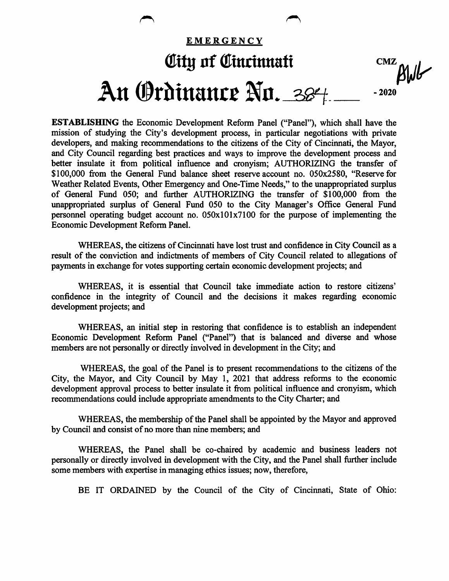

ESTABLISHING the Economic Development Reform Panel ("Panel"), which shall have the mission of studying the City's development process, in particular negotiations with private developers, and making recommendations to the citizens of the City of Cincinnati, the Mayor, and City Council regarding best practices and ways to improve the development process and better insulate it from political influence and cronyism; AUTHORIZING the transfer of \$100,000 from the General Fund balance sheet reserve account no. 050x2580, "Reserve for Weather Related Events, Other Emergency and One-Time Needs," to the unappropriated surplus of General Fund 050; and further AUTHORIZING the transfer of \$100,000 from the unappropriated surplus of General Fund 050 to the City Manager's Office General Fund personnel operating budget account no. 050x101x7100 for the purpose of implementing the Economic Development Reform Panel.

WHEREAS, the citizens of Cincinnati have lost trust and confidence in City Council as a result of the conviction and indictments of members of City Council related to allegations of payments in exchange for votes supporting certain economic development projects; and

WHEREAS, it is essential that Council take immediate action to restore citizens' confidence in the integrity of Council and the decisions it makes regarding economic development projects; and

WHEREAS, an initial step in restoring that confidence is to establish an independent Economic Development Reform Panel ("Panel") that is balanced and diverse and whose members are not personally or directly involved in development in the City; and

WHEREAS, the goal of the Panel is to present recommendations to the citizens of the City, the Mayor, and City Council by May 1, 2021 that address reforms to the economic development approval process to better insulate it from political influence and cronyism, which recommendations could include appropriate amendments to the City Charter; and

WHEREAS, the membership of the Panel shall be appointed by the Mayor and approved by Council and consist of no more than nine members; and

WHEREAS, the Panel shall be co-chaired by academic and business leaders not personally or directly involved in development with the City, and the Panel shall further include some members with expertise in managing ethics issues; now, therefore,

BE IT ORDAINED by the Council of the City of Cincinnati, State of Ohio: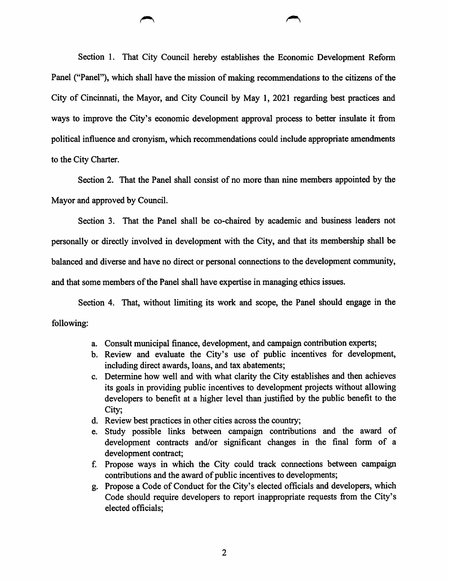Section 1. That City Council hereby establishes the Economic Development Reform Panel ("Panel"), which shall have the mission of making recommendations to the citizens of the City of Cincinnati, the Mayor, and City Council by May 1, 2021 regarding best practices and ways to improve the City's economic development approval process to better insulate it from political influence and cronyism, which recommendations could include appropriate amendments to the City Charter.

Section 2. That the Panel shall consist of no more than nine members appointed by the Mayor and approved by Council.

Section 3. That the Panel shall be co-chaired by academic and business leaders not personally or directly involved in development with the City, and that its membership shall be balanced and diverse and have no direct or personal connections to the development community, and that some members of the Panel shall have expertise in managing ethics issues.

Section 4. That, without limiting its work and scope, the Panel should engage in the following:

- a. Consult municipal finance, development, and campaign contribution experts;
- b. Review and evaluate the City's use of public incentives for development, including direct awards, loans, and tax abatements;
- c. Determine how well and with what clarity the City establishes and then achieves its goals in providing public incentives to development projects without allowing developers to benefit at a higher level than justified by the public benefit to the City;
- d. Review best practices in other cities across the country;
- e. Study possible links between campaign contributions and the award of development contracts and/or significant changes in the final form of a development contract;
- f. Propose ways in which the City could track connections between campaign contributions and the award of public incentives to developments;
- g. Propose a Code of Conduct for the City's elected officials and developers, which Code should require developers to report inappropriate requests from the City's elected officials;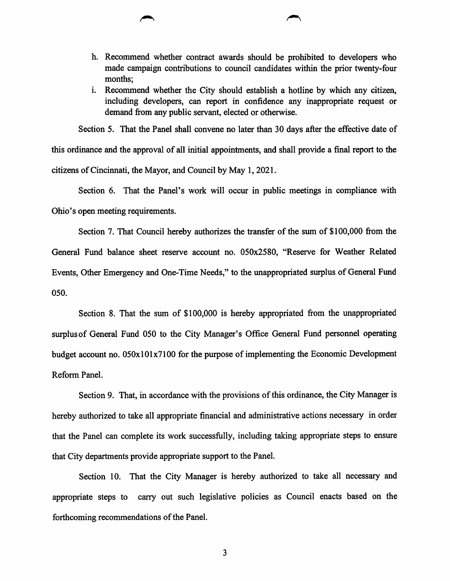- h. Recommend whether contract awards should be prohibited to developers who made campaign contributions to council candidates within the prior twenty-four months;
- i. Recommend whether the City should establish a hotline by which any citizen, including developers, can report in confidence any inappropriate request or demand from any public servant, elected or otherwise.

Section 5. That the Panel shall convene no later than 30 days after the effective date of this ordinance and the approval of all initial appointments, and shall provide a final report to the citizens of Cincinnati, the Mayor, and Council by May 1,2021.

Section 6. That the Panel's work will occur in public meetings in compliance with Ohio's open meeting requirements.

Section 7. That Council hereby authorizes the transfer of the sum of  $$100,000$  from the General Fund balance sheet reserve account no. 050x2580, "Reserve for Weather Related Events, Other Emergency and One-Time Needs," to the unappropriated surplus of General Fund 050.

Section 8. That the sum of \$100,000 is hereby appropriated from the unappropriated surplus of General Fund 050 to the City Manager's Office General Fund personnel operating budget account no. 050x101x7100 for the purpose of implementing the Economic Development Reform Panel.

Section 9. That, in accordance with the provisions of this ordinance, the City Manager is hereby authorized to take all appropriate financial and administrative actions necessary in order that the Panel can complete its work successfully, including taking appropriate steps to ensure that City departments provide appropriate support to the Panel.

Section 10. That the City Manager is hereby authorized to take all necessary and appropriate steps to carry out such legislative policies as Council enacts based on the forthcoming recommendations of the Panel.

 $\overline{3}$